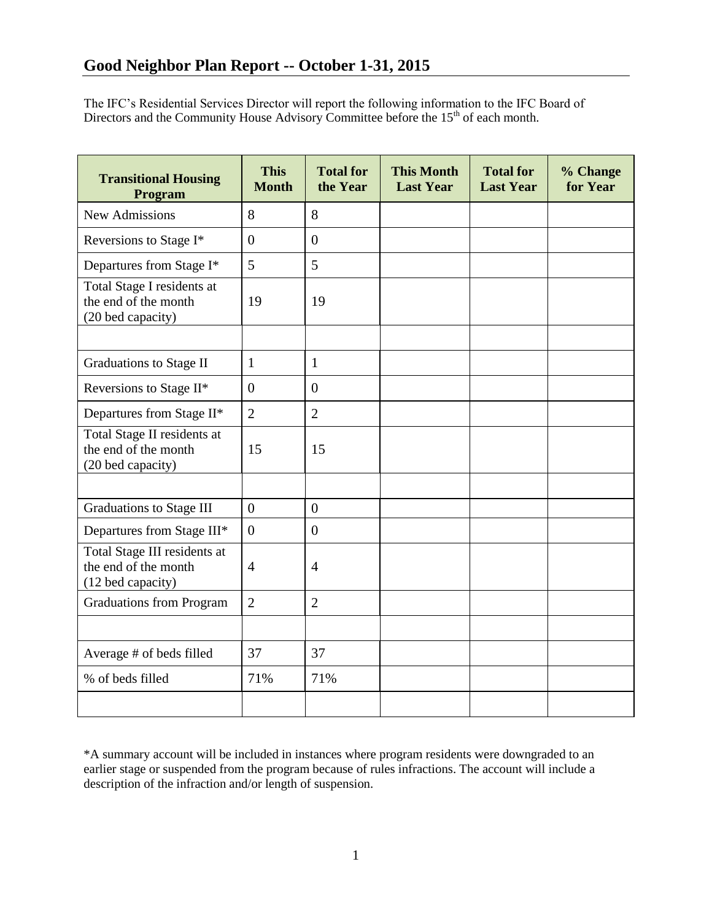The IFC's Residential Services Director will report the following information to the IFC Board of Directors and the Community House Advisory Committee before the  $15<sup>th</sup>$  of each month.

| <b>Transitional Housing</b><br>Program                                    | <b>This</b><br><b>Month</b> | <b>Total for</b><br>the Year | <b>This Month</b><br><b>Last Year</b> | <b>Total for</b><br><b>Last Year</b> | % Change<br>for Year |
|---------------------------------------------------------------------------|-----------------------------|------------------------------|---------------------------------------|--------------------------------------|----------------------|
| <b>New Admissions</b>                                                     | 8                           | 8                            |                                       |                                      |                      |
| Reversions to Stage I*                                                    | $\theta$                    | $\overline{0}$               |                                       |                                      |                      |
| Departures from Stage I*                                                  | 5                           | 5                            |                                       |                                      |                      |
| Total Stage I residents at<br>the end of the month<br>(20 bed capacity)   | 19                          | 19                           |                                       |                                      |                      |
|                                                                           |                             |                              |                                       |                                      |                      |
| Graduations to Stage II                                                   | $\mathbf{1}$                | $\mathbf{1}$                 |                                       |                                      |                      |
| Reversions to Stage II*                                                   | $\overline{0}$              | $\overline{0}$               |                                       |                                      |                      |
| Departures from Stage II*                                                 | $\overline{2}$              | $\overline{2}$               |                                       |                                      |                      |
| Total Stage II residents at<br>the end of the month<br>(20 bed capacity)  | 15                          | 15                           |                                       |                                      |                      |
|                                                                           |                             |                              |                                       |                                      |                      |
| Graduations to Stage III                                                  | $\overline{0}$              | $\overline{0}$               |                                       |                                      |                      |
| Departures from Stage III*                                                | $\overline{0}$              | $\mathbf{0}$                 |                                       |                                      |                      |
| Total Stage III residents at<br>the end of the month<br>(12 bed capacity) | $\overline{4}$              | $\overline{4}$               |                                       |                                      |                      |
| <b>Graduations from Program</b>                                           | $\overline{2}$              | $\overline{2}$               |                                       |                                      |                      |
|                                                                           |                             |                              |                                       |                                      |                      |
| Average # of beds filled                                                  | 37                          | 37                           |                                       |                                      |                      |
| % of beds filled                                                          | 71%                         | 71%                          |                                       |                                      |                      |
|                                                                           |                             |                              |                                       |                                      |                      |

\*A summary account will be included in instances where program residents were downgraded to an earlier stage or suspended from the program because of rules infractions. The account will include a description of the infraction and/or length of suspension.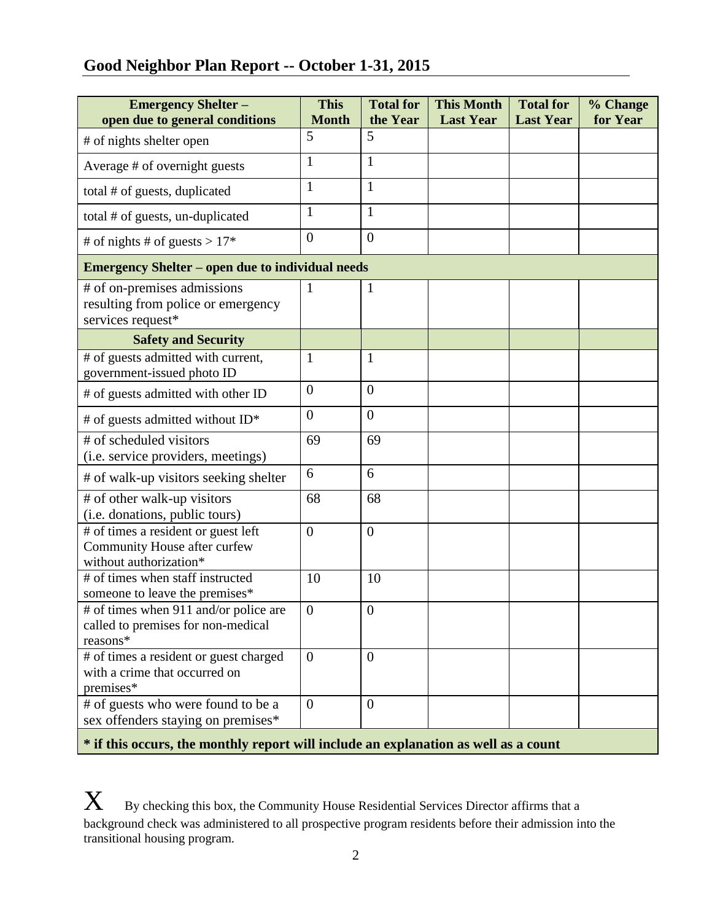# **Good Neighbor Plan Report -- October 1-31, 2015**

| <b>Emergency Shelter -</b><br>open due to general conditions                                  | <b>This</b><br><b>Month</b> | <b>Total for</b><br>the Year | <b>This Month</b><br><b>Last Year</b> | <b>Total for</b><br><b>Last Year</b> | % Change<br>for Year |  |  |
|-----------------------------------------------------------------------------------------------|-----------------------------|------------------------------|---------------------------------------|--------------------------------------|----------------------|--|--|
| # of nights shelter open                                                                      | 5                           | 5                            |                                       |                                      |                      |  |  |
| Average # of overnight guests                                                                 | $\mathbf{1}$                | $\mathbf{1}$                 |                                       |                                      |                      |  |  |
| total # of guests, duplicated                                                                 | $\mathbf{1}$                | 1                            |                                       |                                      |                      |  |  |
| total # of guests, un-duplicated                                                              | $\mathbf{1}$                | 1                            |                                       |                                      |                      |  |  |
| # of nights # of guests > $17*$                                                               | $\overline{0}$              | $\overline{0}$               |                                       |                                      |                      |  |  |
| <b>Emergency Shelter – open due to individual needs</b>                                       |                             |                              |                                       |                                      |                      |  |  |
| # of on-premises admissions<br>resulting from police or emergency<br>services request*        | $\mathbf{1}$                | $\mathbf{1}$                 |                                       |                                      |                      |  |  |
| <b>Safety and Security</b>                                                                    |                             |                              |                                       |                                      |                      |  |  |
| # of guests admitted with current,<br>government-issued photo ID                              | 1                           | $\mathbf{1}$                 |                                       |                                      |                      |  |  |
| # of guests admitted with other ID                                                            | $\boldsymbol{0}$            | $\overline{0}$               |                                       |                                      |                      |  |  |
| # of guests admitted without ID*                                                              | $\overline{0}$              | $\overline{0}$               |                                       |                                      |                      |  |  |
| # of scheduled visitors<br>(i.e. service providers, meetings)                                 | 69                          | 69                           |                                       |                                      |                      |  |  |
| # of walk-up visitors seeking shelter                                                         | 6                           | 6                            |                                       |                                      |                      |  |  |
| # of other walk-up visitors<br>(i.e. donations, public tours)                                 | 68                          | 68                           |                                       |                                      |                      |  |  |
| # of times a resident or guest left<br>Community House after curfew<br>without authorization* | $\overline{0}$              | $\boldsymbol{0}$             |                                       |                                      |                      |  |  |
| # of times when staff instructed<br>someone to leave the premises*                            | 10                          | 10                           |                                       |                                      |                      |  |  |
| # of times when 911 and/or police are<br>called to premises for non-medical<br>reasons*       | $\boldsymbol{0}$            | $\boldsymbol{0}$             |                                       |                                      |                      |  |  |
| # of times a resident or guest charged<br>with a crime that occurred on<br>premises*          | $\overline{0}$              | $\overline{0}$               |                                       |                                      |                      |  |  |
| # of guests who were found to be a<br>sex offenders staying on premises*                      | $\overline{0}$              | $\overline{0}$               |                                       |                                      |                      |  |  |

**\* if this occurs, the monthly report will include an explanation as well as a count**

 $\boldsymbol{X}$  By checking this box, the Community House Residential Services Director affirms that a background check was administered to all prospective program residents before their admission into the transitional housing program.